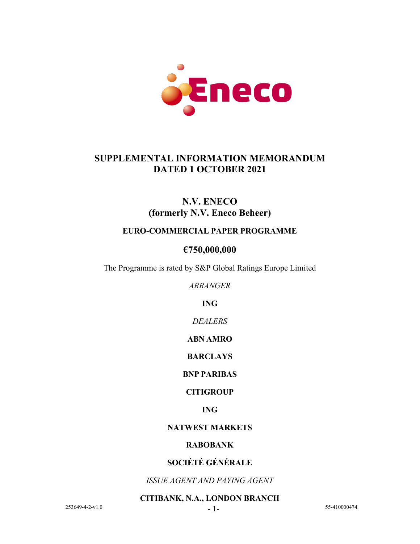

## **SUPPLEMENTAL INFORMATION MEMORANDUM DATED 1 OCTOBER 2021**

# **N.V. ENECO (formerly N.V. Eneco Beheer)**

### **EURO-COMMERCIAL PAPER PROGRAMME**

## **€750,000,000**

The Programme is rated by S&P Global Ratings Europe Limited

*ARRANGER*

**ING**

*DEALERS*

**ABN AMRO**

**BARCLAYS**

**BNP PARIBAS**

### **CITIGROUP**

**ING**

#### **NATWEST MARKETS**

#### **RABOBANK**

### **SOCIÉTÉ GÉNÉRALE**

*ISSUE AGENT AND PAYING AGENT*

**CITIBANK, N.A., LONDON BRANCH**

 $253649-4-2-v1.0$  - 1- 55-410000474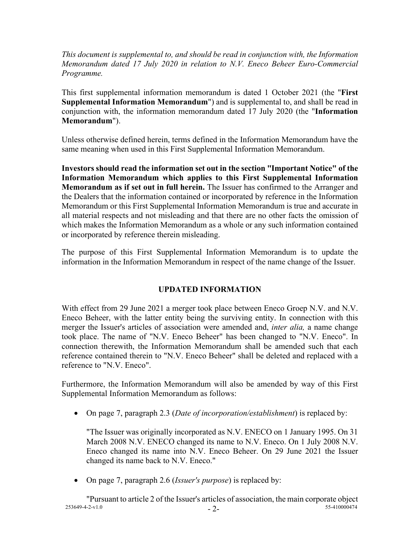*This document is supplemental to, and should be read in conjunction with, the Information Memorandum dated 17 July 2020 in relation to N.V. Eneco Beheer Euro-Commercial Programme.*

This first supplemental information memorandum is dated 1 October 2021 (the "**First Supplemental Information Memorandum**") and is supplemental to, and shall be read in conjunction with, the information memorandum dated 17 July 2020 (the "**Information Memorandum**").

Unless otherwise defined herein, terms defined in the Information Memorandum have the same meaning when used in this First Supplemental Information Memorandum.

**Investors should read the information set out in the section "Important Notice" of the Information Memorandum which applies to this First Supplemental Information Memorandum as if set out in full herein.** The Issuer has confirmed to the Arranger and the Dealers that the information contained or incorporated by reference in the Information Memorandum or this First Supplemental Information Memorandum is true and accurate in all material respects and not misleading and that there are no other facts the omission of which makes the Information Memorandum as a whole or any such information contained or incorporated by reference therein misleading.

The purpose of this First Supplemental Information Memorandum is to update the information in the Information Memorandum in respect of the name change of the Issuer.

### **UPDATED INFORMATION**

With effect from 29 June 2021 a merger took place between Eneco Groep N.V. and N.V. Eneco Beheer, with the latter entity being the surviving entity. In connection with this merger the Issuer's articles of association were amended and, *inter alia,* a name change took place. The name of "N.V. Eneco Beheer" has been changed to "N.V. Eneco". In connection therewith, the Information Memorandum shall be amended such that each reference contained therein to "N.V. Eneco Beheer" shall be deleted and replaced with a reference to "N.V. Eneco".

Furthermore, the Information Memorandum will also be amended by way of this First Supplemental Information Memorandum as follows:

• On page 7, paragraph 2.3 (*Date of incorporation/establishment*) is replaced by:

"The Issuer was originally incorporated as N.V. ENECO on 1 January 1995. On 31 March 2008 N.V. ENECO changed its name to N.V. Eneco. On 1 July 2008 N.V. Eneco changed its name into N.V. Eneco Beheer. On 29 June 2021 the Issuer changed its name back to N.V. Eneco."

• On page 7, paragraph 2.6 (*Issuer's purpose*) is replaced by:

 $253649-4-2-v1.0$   $-2-$ "Pursuant to article 2 of the Issuer's articles of association, the main corporate object<br>253649-4-2-v1.0<br>55-410000474